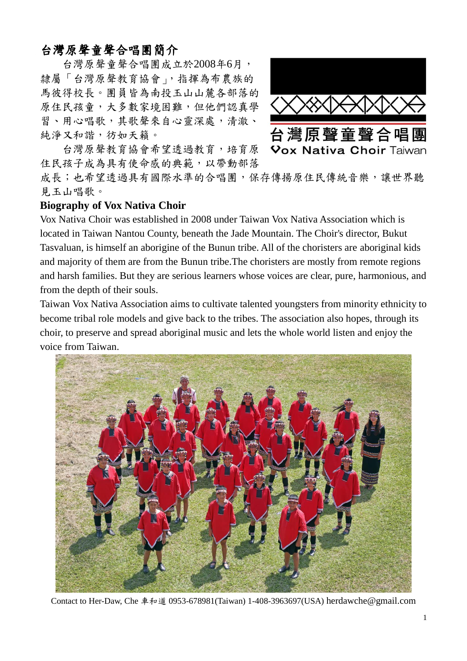## 台灣原聲童聲合唱團簡介

台灣原聲童聲合唱團成立於2008年6月, 隸屬「台灣原聲教育協會」,指揮為布農族的 馬彼得校長。團員皆為南投玉山山麓各部落的 原住民孩童,大多數家境困難,但他們認真學 習、用心唱歌,其歌聲來自心靈深處,清澈、 純淨又和諧, 彷如天籟。



台灣原聲教育協會希望透過教育,培育原 住民孩子成為具有使命感的典範,以帶動部落

成長;也希望透過具有國際水準的合唱團,保存傳揚原住民傳統音樂,讓世界聽 見玉山唱歌。

## **Biography of Vox Nativa Choir**

Vox Nativa Choir was established in 2008 under Taiwan Vox Nativa Association which is located in Taiwan Nantou County, beneath the Jade Mountain. The Choir's director, Bukut Tasvaluan, is himself an aborigine of the Bunun tribe. All of the choristers are aboriginal kids and majority of them are from the Bunun tribe.The choristers are mostly from remote regions and harsh families. But they are serious learners whose voices are clear, pure, harmonious, and from the depth of their souls.

Taiwan Vox Nativa Association aims to cultivate talented youngsters from minority ethnicity to become tribal role models and give back to the tribes. The association also hopes, through its choir, to preserve and spread aboriginal music and lets the whole world listen and enjoy the voice from Taiwan.



Contact to Her-Daw, Che 車和道 0953-678981(Taiwan) 1-408-3963697(USA) herdawche@gmail.com